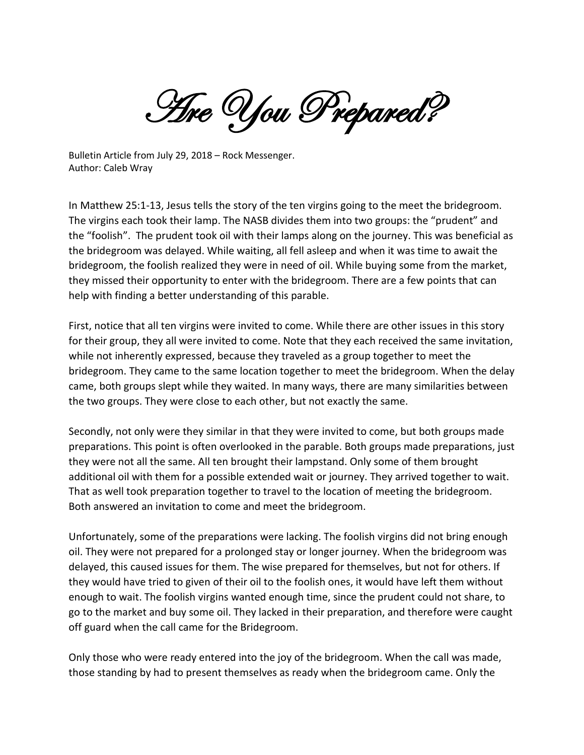Are You Prepared?

Bulletin Article from July 29, 2018 – Rock Messenger. Author: Caleb Wray

In Matthew 25:1-13, Jesus tells the story of the ten virgins going to the meet the bridegroom. The virgins each took their lamp. The NASB divides them into two groups: the "prudent" and the "foolish". The prudent took oil with their lamps along on the journey. This was beneficial as the bridegroom was delayed. While waiting, all fell asleep and when it was time to await the bridegroom, the foolish realized they were in need of oil. While buying some from the market, they missed their opportunity to enter with the bridegroom. There are a few points that can help with finding a better understanding of this parable.

First, notice that all ten virgins were invited to come. While there are other issues in this story for their group, they all were invited to come. Note that they each received the same invitation, while not inherently expressed, because they traveled as a group together to meet the bridegroom. They came to the same location together to meet the bridegroom. When the delay came, both groups slept while they waited. In many ways, there are many similarities between the two groups. They were close to each other, but not exactly the same.

Secondly, not only were they similar in that they were invited to come, but both groups made preparations. This point is often overlooked in the parable. Both groups made preparations, just they were not all the same. All ten brought their lampstand. Only some of them brought additional oil with them for a possible extended wait or journey. They arrived together to wait. That as well took preparation together to travel to the location of meeting the bridegroom. Both answered an invitation to come and meet the bridegroom.

Unfortunately, some of the preparations were lacking. The foolish virgins did not bring enough oil. They were not prepared for a prolonged stay or longer journey. When the bridegroom was delayed, this caused issues for them. The wise prepared for themselves, but not for others. If they would have tried to given of their oil to the foolish ones, it would have left them without enough to wait. The foolish virgins wanted enough time, since the prudent could not share, to go to the market and buy some oil. They lacked in their preparation, and therefore were caught off guard when the call came for the Bridegroom.

Only those who were ready entered into the joy of the bridegroom. When the call was made, those standing by had to present themselves as ready when the bridegroom came. Only the